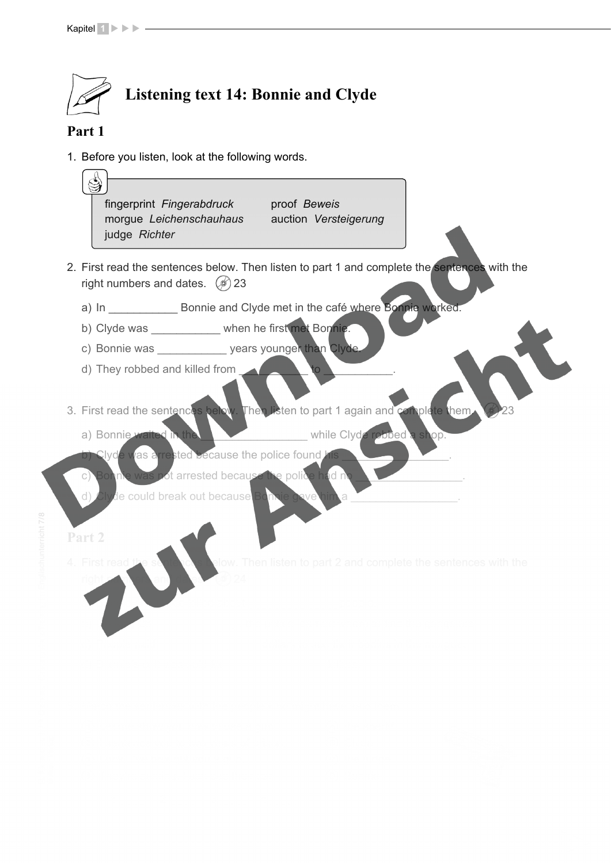

# **Part 1**

nterricht 7/8

1. Before you listen, look at the following words. joyride *Spritztour* pylon *Strommast* 

| S)<br>fingerprint Fingerabdruck<br>proof Beweis<br>morgue Leichenschauhaus auction Versteigerung<br>judge Richter                 |
|-----------------------------------------------------------------------------------------------------------------------------------|
| 2. First read the sentences below. Then listen to part 1 and complete the sentences with the<br>right numbers and dates. $(6)$ 23 |
| a) In Bonnie and Clyde met in the café where Bonnie worked.                                                                       |
| b) Clyde was ____________ when he first met Bonnie.                                                                               |
| c) Bonnie was vears younger than Clyde                                                                                            |
| d) They robbed and killed from<br>to:                                                                                             |
| 3. First read the sentences below. Then listen to part 1 again and complete them.                                                 |
| while Clyde rebbed a shop.<br>a) Bonnie waited in the                                                                             |
| b) Clyde was a rested because the police found his                                                                                |
| Bonne was pot arrested because the police had n<br>$\circ)$                                                                       |
| d) Clyde could break out because Bonnie oave                                                                                      |
| Part 2                                                                                                                            |
| Then listen to part 2 and complete the sentences with the<br><b>First read</b>                                                    |

<u>X X Arbeitsblätter i Statten und der Statten und der Statten und der Statten und der Statten und der Statten un</u>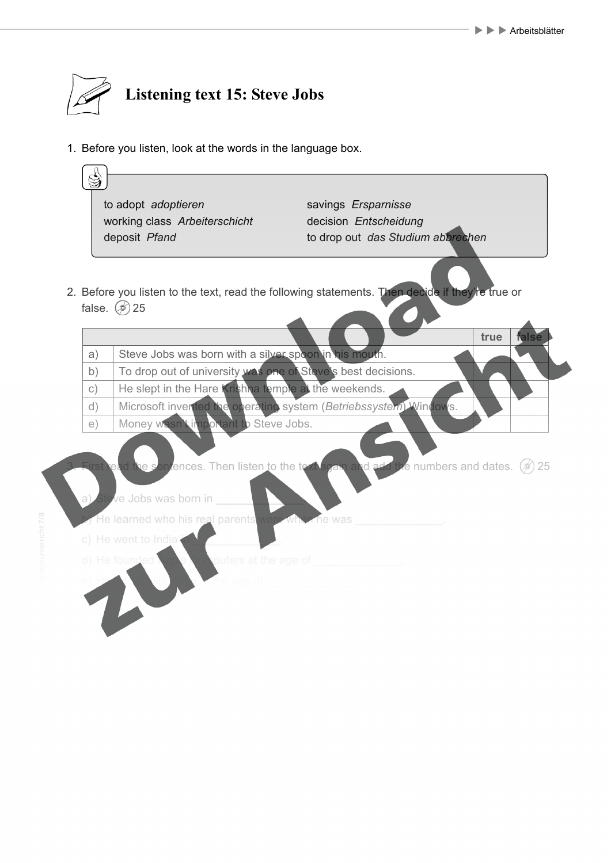

1. Before you listen, look at the words in the language box.

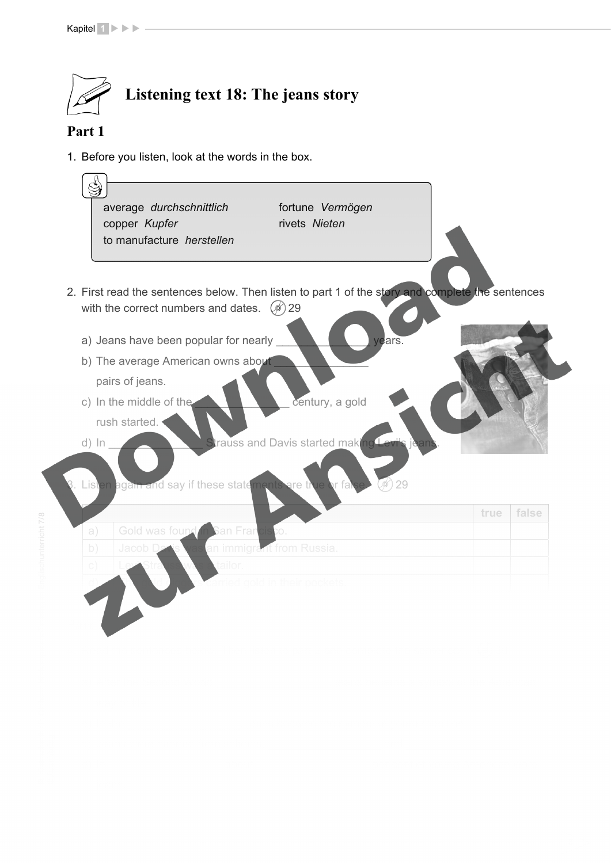

### **Part 1**

1. Before you listen, look at the words in the box.



<u>X X Arbeitsblätter i Statten und der Statten und der Statten und der Statten und der Statten und der Statten un</u>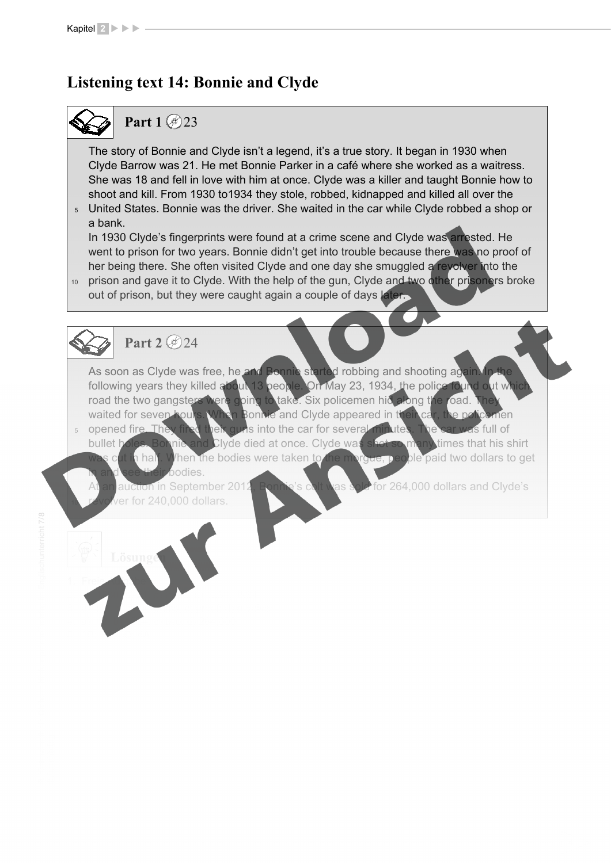#### **Listening text 14: Bonnie and Clyde**   $\sigma$  toyt 1*A*.

## **Part 1** 23  $\sim$  1

The story of Bonnie and Clyde isn't a legend, it's a true story. It began in 1930 when Clyde Barrow was 21. He met Bonnie Parker in a café where she worked as a waitress. She was 18 and fell in love with him at once. Clyde was a killer and taught Bonnie how to shoot and kill. From 1930 to1934 they stole, robbed, kidnapped and killed all over the

<u>X X Arbeitsblätter i Statten und der Statten und der Statten und der Statten und der Statten und der Statten un</u>

<sub>5</sub> United States. Bonnie was the driver. She waited in the car while Clyde robbed a shop or a bank.

 $10$  prison and gave it to Clyde. With the help of the gun, Clyde and two other prisoners broke In 1930 Clyde's fingerprints were found at a crime scene and Clyde was arrested. He went to prison for two years. Bonnie didn't get into trouble because there was no proof of her being there. She often visited Clyde and one day she smuggled a revolver into the

out of prison, but they were caught again a couple of days later.

 $\sim$  He was motoring at about  $\sim$  .

<sub>5</sub> opened fire The As soon as Clyde was free, he and Bonnie started robbing and shooting again. In the following years they killed about 13 people. On May 23, 1934, the police found out wh road the two gangsters were going to take. Six policemen hid along the road. waited for seven hours. When Bonnie and Clyde appeared in their car, the policement pen quris into the car for several minutes. The car was full of d) The damage amounted to dollars.

b) A box of about years was sitting on a sitting on a sitting on a -foot fence.

bullet holes. Bonnie and Clyde died at once. Clyde was was cut in half. When the bodies were taken to the morgue, people paid two dollars to get in and see their bodies. times that his shirt

as sold for 264,000 dollars and Clyde's revolver for 240,000 dollars. The police know where the keys from the boy got the keys from the keys from the keys from the keys from the keys from the keys from the keys from the keys from the keys from the keys from the auction in September 201.

10

1. Freie Aufgabe

5. 1B; 2C; 3D; 4A

2. a) 1930; b) 21; c) three; d) 1930; 1934  $3.7$  a) fingerprints; c) proof; d) revolversions; c)  $p$ 

 $\overline{a}$  They know where  $\overline{a}$ 

3. Answer the questions in complete sentences.

**Part 2** 24

4. a) 13; b) 1934; c) two; d) 264,000

**Lösungen**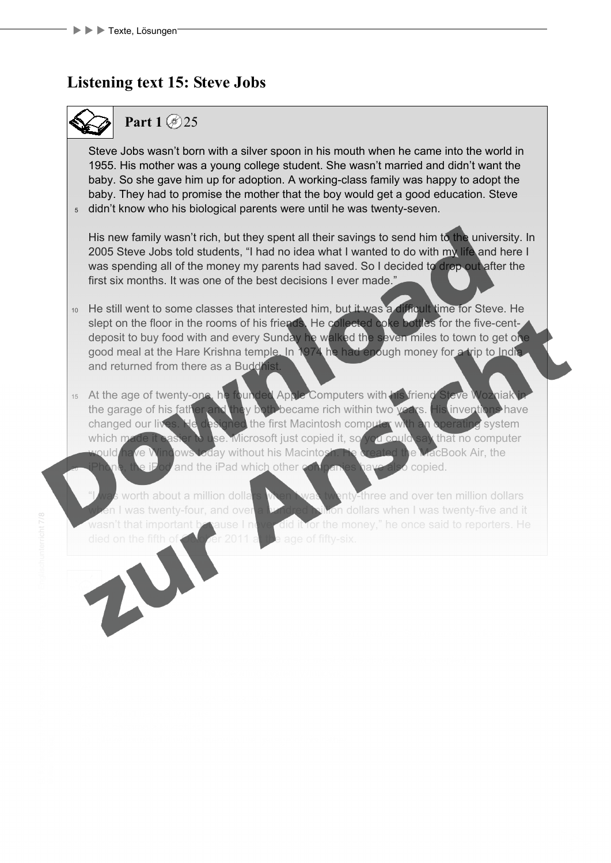#### **Listening text 15: Steve Jobs boys** 1

### **Part 1**  $\circ$  25  $\sim$  1

 $_{5}$  didn't know who his biological parents were until he was twenty-seven. Steve Jobs wasn't born with a silver spoon in his mouth when he came into the world in 1955. His mother was a young college student. She wasn't married and didn't want the baby. So she gave him up for adoption. A working-class family was happy to adopt the baby. They had to promise the mother that the boy would get a good education. Steve

X X X Arbeitsblätter in der Stadt der Stadt der Stadt der Stadt der Stadt der Stadt der Stadt der Stadt der S<br>Stadt der Stadt der Stadt der Stadt der Stadt der Stadt der Stadt der Stadt der Stadt der Stadt der Stadt der

His new family wasn't rich, but they spent all their savings to send him to the university. In a 2005 Steve Jobs told students, "I had no idea what I wanted to do with my life and here I was spending all of the money my parents had saved. So I decided to drop out after the first six months. It was one of the best decisions I ever made."

- <sup>10</sup> He still went to some classes that interested him, but it was a difficult time for Steve. He slept on the floor in the rooms of his friends. He collected coke bottles for the five-centdeposit to buy food with and every Sunday he walked the seven miles to town to get one good meal at the Hare Krishna temple. In 1974 he had enough money for a trip to India. and returned from there as a Buddhist. e) Joyriding is the most common type of crime among boys under .
- 15 At the age of twenty-one, he founded Apple Computers with his friend Steve Wozniak in 20 the garage of his father and they both became rich within two years. His inventions have changed our lives. He designed the first Macintosh comp which made it easier to use. Microsoft just copied it, so you could would/ha<mark>ve Windows tod</mark>ay without his Macintosh. He created the MacBook Air, the iPhone, the iPod and the iPad which other companies have also copied. that no computer

worth about a million dollars when I was twenty-three and over ten million dollars on dollars when I was twenty-five and it ause I never did it for the money," he once said to reporters. He died on the fifth of  $\triangle$  or  $2011$  at the age of fifty-six. c) The house was damaged on the outside. was twenty-four, and over wasn't that important to

2. a) false (His mother was a young college student who wasn't married. She gave him up for adoption.)

1. Freie Aufgabe

**Lösungen**

3. Answer the questions in complete sentences.